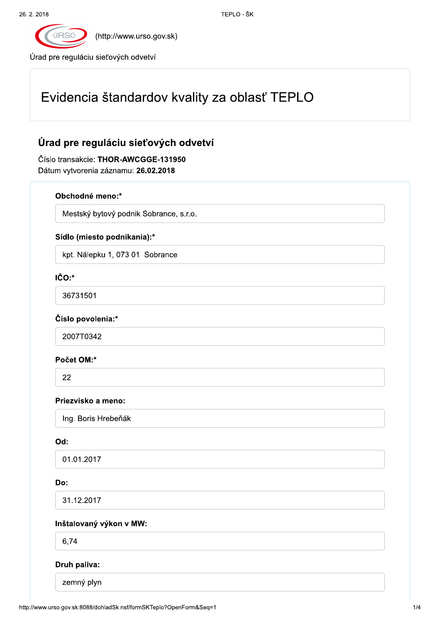

(http://www.urso.gov.sk)

Úrad pre reguláciu sieťových odvetví

# Evidencia štandardov kvality za oblasť TEPLO

## Úrad pre reguláciu sieťových odvetví

Číslo transakcie: THOR-AWCGGE-131950 Dátum vytvorenia záznamu: 26.02.2018

#### Obchodné meno:\*

Mestský bytový podnik Sobrance, s.r.o.

#### Sídlo (miesto podnikania):\*

kpt. Nálepku 1, 073 01 Sobrance

### IČO:\*

36731501

#### Číslo povolenia:\*

2007T0342

#### Počet OM:\*

22

#### Priezvisko a meno:

Ing. Boris Hrebeňák

#### Od:

01.01.2017

#### Do:

31.12.2017

#### Inštalovaný výkon v MW:

6,74

#### Druh paliva:

zemný plyn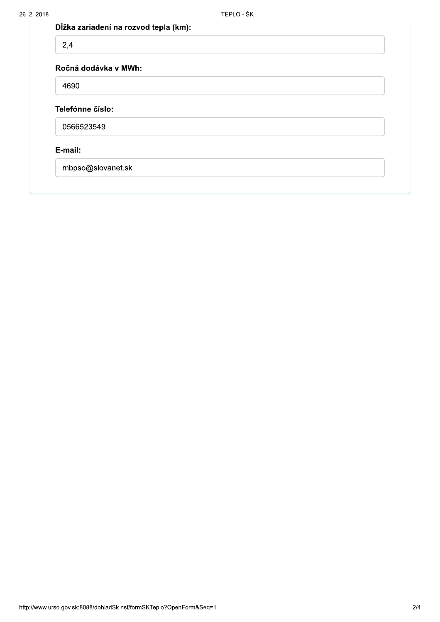| Dĺžka zariadení na rozvod tepla (km): |
|---------------------------------------|
|---------------------------------------|

| 2,4                  |  |  |
|----------------------|--|--|
| Ročná dodávka v MWh: |  |  |
| 4690                 |  |  |
| Telefónne číslo:     |  |  |
| 0566523549           |  |  |
| E-mail:              |  |  |
| mbpso@slovanet.sk    |  |  |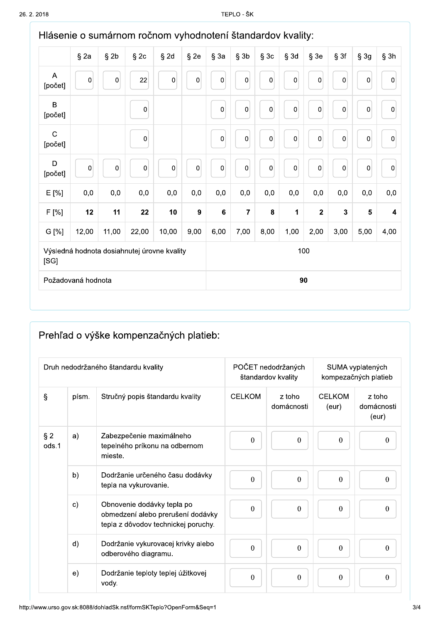| Hlásenie o sumárnom ročnom vyhodnotení štandardov kvality: |                  |             |           |           |                  |           |                         |             |                  |                  |              |                  |                         |
|------------------------------------------------------------|------------------|-------------|-----------|-----------|------------------|-----------|-------------------------|-------------|------------------|------------------|--------------|------------------|-------------------------|
|                                                            | $§$ 2a           | $§$ 2b      | $§$ 2 $c$ | $§$ 2d    | $§$ 2e           | $§$ 3a    | $§$ 3b                  | $§$ 3 $c$   | $§$ 3d           | $§$ 3e           | § 3f         | § 3g             | $§$ 3h                  |
| A<br>[počet]                                               | $\boldsymbol{0}$ | $\pmb{0}$   | 22        | $\pmb{0}$ | $\mathbf 0$      | $\pmb{0}$ | $\mathbf 0$             | 0           | $\mathbf 0$      | $\mathbf 0$      | $\pmb{0}$    | $\pmb{0}$        | $\boldsymbol{0}$        |
| B<br>[počet]                                               |                  |             | $\pmb{0}$ |           |                  | 0         | $\pmb{0}$               | $\mathbf 0$ | $\mathbf 0$      | $\mathbf 0$      | $\pmb{0}$    | $\boldsymbol{0}$ | $\boldsymbol{0}$        |
| $\mathsf{C}$<br>[počet]                                    |                  |             | $\pmb{0}$ |           |                  | $\pmb{0}$ | $\pmb{0}$               | 0           | $\mathbf 0$      | $\mathbf 0$      | $\pmb{0}$    | $\pmb{0}$        | $\pmb{0}$               |
| D<br>[počet]                                               | $\pmb{0}$        | $\mathbf 0$ | $\pmb{0}$ | $\pmb{0}$ | $\pmb{0}$        | $\pmb{0}$ | $\boldsymbol{0}$        | 0           | $\boldsymbol{0}$ | $\boldsymbol{0}$ | $\pmb{0}$    | $\pmb{0}$        | $\pmb{0}$               |
| E [%]                                                      | 0,0              | 0,0         | 0,0       | 0,0       | 0,0              | 0,0       | 0,0                     | 0,0         | 0,0              | 0,0              | 0,0          | 0,0              | 0,0                     |
| F [%]                                                      | 12               | 11          | 22        | 10        | $\boldsymbol{9}$ | $\bf 6$   | $\overline{\mathbf{7}}$ | 8           | 1                | $\overline{2}$   | $\mathbf{3}$ | $5\phantom{a}$   | $\overline{\mathbf{4}}$ |
| G [%]                                                      | 12,00            | 11,00       | 22,00     | 10,00     | 9,00             | 6,00      | 7,00                    | 8,00        | 1,00             | 2,00             | 3,00         | 5,00             | 4,00                    |
| Výsledná hodnota dosiahnutej úrovne kvality<br>[SG]        |                  |             |           | 100       |                  |           |                         |             |                  |                  |              |                  |                         |
| Požadovaná hodnota                                         |                  |             |           | 90        |                  |           |                         |             |                  |                  |              |                  |                         |

# Prehľad o výške kompenzačných platieb:

|                |              | Druh nedodržaného štandardu kvality                                                                    |                | POČET nedodržaných<br>štandardov kvality |                        | SUMA vyplatených<br>kompezačných platieb |
|----------------|--------------|--------------------------------------------------------------------------------------------------------|----------------|------------------------------------------|------------------------|------------------------------------------|
| $\S$           | písm.        | Stručný popis štandardu kvality                                                                        | <b>CELKOM</b>  | z toho<br>domácnosti                     | <b>CELKOM</b><br>(eur) | z toho<br>domácnosti<br>(eur)            |
| $§$ 2<br>ods.1 | a)           | Zabezpečenie maximálneho<br>tepelného príkonu na odbernom<br>mieste.                                   | $\mathbf{0}$   | $\theta$                                 | $\boldsymbol{0}$       | $\mathbf{0}$                             |
|                | b)           | Dodržanie určeného času dodávky<br>tepla na vykurovanie.                                               | $\overline{0}$ | $\theta$                                 | $\mathbf{0}$           | $\boldsymbol{0}$                         |
|                | $\mathbf{c}$ | Obnovenie dodávky tepla po<br>obmedzení alebo prerušení dodávky<br>tepla z dôvodov technickej poruchy. | $\mathbf{0}$   | $\Omega$                                 | $\mathbf{0}$           | $\theta$                                 |
|                | d)           | Dodržanie vykurovacej krivky alebo<br>odberového diagramu.                                             | $\mathbf{0}$   | $\boldsymbol{0}$                         | $\boldsymbol{0}$       | $\mathbf{0}$                             |
|                | e)           | Dodržanie teploty teplej úžitkovej<br>vody.                                                            | $\mathbf{0}$   | $\boldsymbol{0}$                         | $\boldsymbol{0}$       | $\boldsymbol{0}$                         |